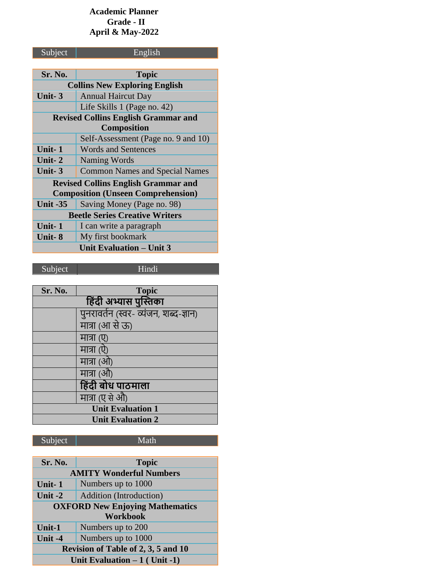## **Academic Planner Grade - II April & May-2022**

| Subject                                    | English                               |
|--------------------------------------------|---------------------------------------|
|                                            |                                       |
| Sr. No.                                    | <b>Topic</b>                          |
| <b>Collins New Exploring English</b>       |                                       |
| Unit-3                                     | <b>Annual Haircut Day</b>             |
|                                            | Life Skills 1 (Page no. 42)           |
| <b>Revised Collins English Grammar and</b> |                                       |
|                                            | <b>Composition</b>                    |
|                                            | Self-Assessment (Page no. 9 and 10)   |
| Unit-1                                     | <b>Words and Sentences</b>            |
| Unit-2                                     | Naming Words                          |
| Unit-3                                     | <b>Common Names and Special Names</b> |
| <b>Revised Collins English Grammar and</b> |                                       |
| <b>Composition (Unseen Comprehension)</b>  |                                       |
| <b>Unit -35</b>                            | Saving Money (Page no. 98)            |
| <b>Beetle Series Creative Writers</b>      |                                       |
| Unit-1                                     | I can write a paragraph               |
| Unit-8                                     | My first bookmark                     |
| <b>Unit Evaluation – Unit 3</b>            |                                       |

Subject Hindi

| Sr. No.                  | <b>Topic</b>                          |
|--------------------------|---------------------------------------|
| हिंदी अभ्यास पुस्तिका    |                                       |
|                          | पुनरावर्तन (स्वर- व्यंजन, शब्द-ज्ञान) |
|                          | मात्रा (आ से ऊ)                       |
|                          | मात्रा (ए)                            |
|                          | मात्रा (ऐ)                            |
|                          | मात्रा (ओ)                            |
|                          | मात्रा (औ)                            |
|                          | हिंदी बोध पाठमाला                     |
|                          | मात्रा (ए से औ)                       |
| <b>Unit Evaluation 1</b> |                                       |
| <b>Unit Evaluation 2</b> |                                       |

| Sr. No.                                | <b>Topic</b>            |
|----------------------------------------|-------------------------|
| <b>AMITY Wonderful Numbers</b>         |                         |
| Unit-1                                 | Numbers up to 1000      |
| Unit -2                                | Addition (Introduction) |
| <b>OXFORD New Enjoying Mathematics</b> |                         |
| <b>Workbook</b>                        |                         |
| Unit-1                                 | Numbers up to 200       |
| Unit -4                                | Numbers up to 1000      |
| Revision of Table of 2, 3, 5 and 10    |                         |
| Unit Evaluation $-1$ (Unit -1)         |                         |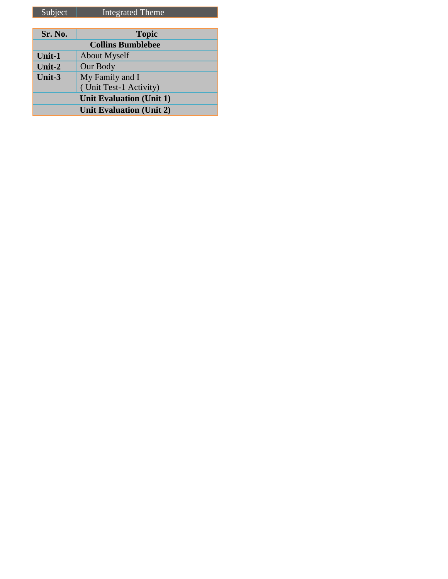| Sr. No.                         | <b>Topic</b>           |
|---------------------------------|------------------------|
| <b>Collins Bumblebee</b>        |                        |
| Unit-1                          | <b>About Myself</b>    |
| Unit- $2$                       | Our Body               |
| Unit-3                          | My Family and I        |
|                                 | (Unit Test-1 Activity) |
| <b>Unit Evaluation (Unit 1)</b> |                        |
| <b>Unit Evaluation (Unit 2)</b> |                        |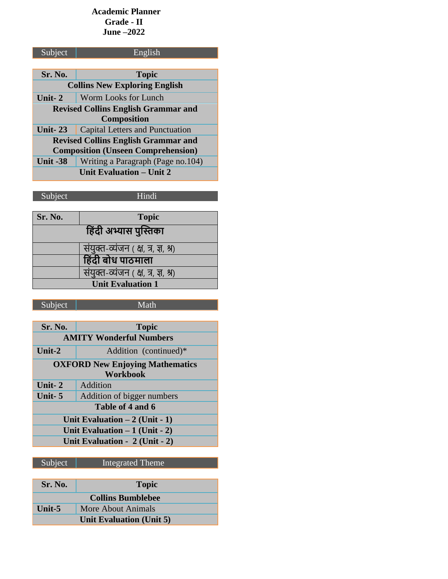### **Academic Planner Grade - II June –2022**

| Subject                                    | English                           |
|--------------------------------------------|-----------------------------------|
|                                            |                                   |
| Sr. No.                                    | <b>Topic</b>                      |
| <b>Collins New Exploring English</b>       |                                   |
| Unit-2                                     | Worm Looks for Lunch              |
| <b>Revised Collins English Grammar and</b> |                                   |
| <b>Composition</b>                         |                                   |
| Unit- $23$                                 | Capital Letters and Punctuation   |
| <b>Revised Collins English Grammar and</b> |                                   |
| <b>Composition (Unseen Comprehension)</b>  |                                   |
| <b>Unit -38</b>                            | Writing a Paragraph (Page no.104) |
| Unit Evaluation – Unit 2                   |                                   |

Subject Hindi

| <b>Topic</b>                        |  |
|-------------------------------------|--|
| हिंदी अभ्यास पुस्तिका               |  |
| संयुक्त-व्यंजन (क्ष, त्र, ज्ञ, श्र) |  |
| हिंदी बोध पाठमाला                   |  |
| संयुक्त-व्यंजन (क्ष, त्र, ज्ञ, श्र) |  |
| <b>Unit Evaluation 1</b>            |  |
|                                     |  |

| Sr. No.                                                               | <b>Topic</b>                 |
|-----------------------------------------------------------------------|------------------------------|
| <b>AMITY Wonderful Numbers</b>                                        |                              |
| Unit-2                                                                | Addition (continued)*        |
| <b>OXFORD New Enjoying Mathematics</b>                                |                              |
|                                                                       | Workbook                     |
| Unit- $2$                                                             | Addition                     |
| Unit- $5$                                                             | Addition of bigger numbers   |
| Table of 4 and 6                                                      |                              |
| Unit Evaluation $-2$ (Unit - 1)                                       |                              |
| Unit Evaluation $-1$ (Unit - 2)                                       |                              |
| Unit Evaluation - 2 (Unit - 2)                                        |                              |
|                                                                       |                              |
| $\begin{array}{ccc} \mathbf{C} & \mathbf{1} & \mathbf{C} \end{array}$ | <b>T</b> <i>I</i> <b>I I</b> |

| Subject                         | <b>Integrated Theme</b> |
|---------------------------------|-------------------------|
|                                 |                         |
| <b>Sr. No.</b>                  | <b>Topic</b>            |
| <b>Collins Bumblebee</b>        |                         |
| Unit- $5$                       | More About Animals      |
| <b>Unit Evaluation (Unit 5)</b> |                         |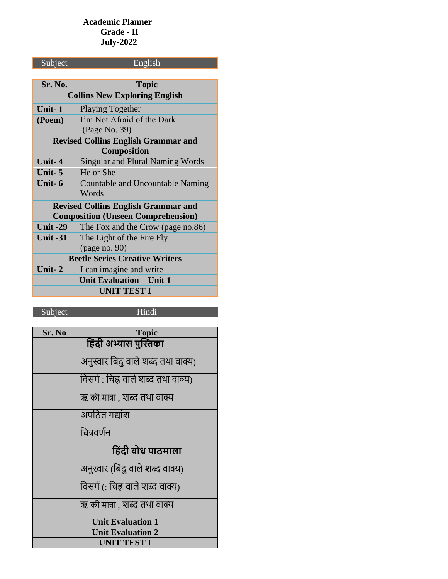## **Academic Planner Grade - II July-2022**

| Subject                                    | English                                   |  |
|--------------------------------------------|-------------------------------------------|--|
|                                            |                                           |  |
| Sr. No.                                    | <b>Topic</b>                              |  |
|                                            | <b>Collins New Exploring English</b>      |  |
| Unit- $1$                                  | <b>Playing Together</b>                   |  |
| (Poem)                                     | I'm Not Afraid of the Dark                |  |
|                                            | (Page No. 39)                             |  |
| <b>Revised Collins English Grammar and</b> |                                           |  |
| <b>Composition</b>                         |                                           |  |
| Unit-4                                     | <b>Singular and Plural Naming Words</b>   |  |
| Unit-5                                     | He or She                                 |  |
| Unit-6                                     | Countable and Uncountable Naming          |  |
|                                            | Words                                     |  |
| <b>Revised Collins English Grammar and</b> |                                           |  |
|                                            | <b>Composition (Unseen Comprehension)</b> |  |
| <b>Unit -29</b>                            | The Fox and the Crow (page no.86)         |  |
| <b>Unit -31</b>                            | The Light of the Fire Fly                 |  |
|                                            | (page no. 90)                             |  |
| <b>Beetle Series Creative Writers</b>      |                                           |  |
| Unit-2                                     | I can imagine and write                   |  |
| Unit Evaluation – Unit 1                   |                                           |  |
| <b>UNIT TEST I</b>                         |                                           |  |
|                                            |                                           |  |

Subject Hindi

| Sr. No                   | <b>Topic</b>                        |
|--------------------------|-------------------------------------|
| हिंदी अभ्यास पुस्तिका    |                                     |
|                          | अनुस्वार बिंदु वाले शब्द तथा वाक्य) |
|                          | विसर्ग : चिह्न वाले शब्द तथा वाक्य) |
|                          | ऋ की मात्रा , शब्द तथा वाक्य        |
|                          | अपठित गद्यांश                       |
|                          | चित्रवर्णन                          |
|                          | हिंदी बोध पाठमाला                   |
|                          | अनुस्वार (बिंदु वाले शब्द वाक्य)    |
|                          | विसर्ग (: चिह्न वाले शब्द वाक्य)    |
|                          | ऋ की मात्रा , शब्द तथा वाक्य        |
| <b>Unit Evaluation 1</b> |                                     |
| <b>Unit Evaluation 2</b> |                                     |
| <b>UNIT TEST I</b>       |                                     |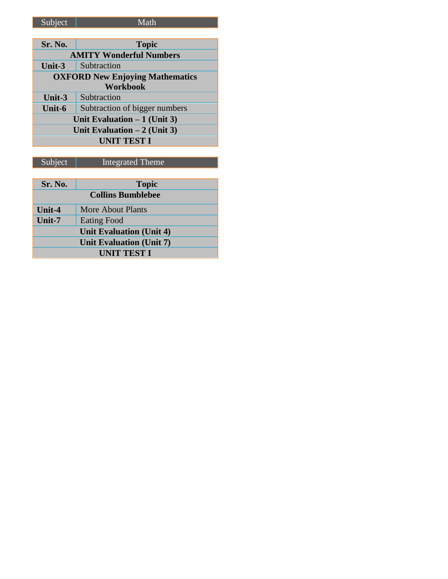# Subject | Math

| Sr. No.                                | <b>Topic</b>                   |  |
|----------------------------------------|--------------------------------|--|
|                                        | <b>AMITY Wonderful Numbers</b> |  |
| Unit- $3$                              | Subtraction                    |  |
| <b>OXFORD New Enjoying Mathematics</b> |                                |  |
| <b>Workbook</b>                        |                                |  |
| Unit-3                                 | Subtraction                    |  |
| Unit-6                                 | Subtraction of bigger numbers  |  |
| Unit Evaluation $-1$ (Unit 3)          |                                |  |
| Unit Evaluation $-2$ (Unit 3)          |                                |  |
| <b>UNIT TEST I</b>                     |                                |  |

| Sr. No.                         | <b>Topic</b>       |
|---------------------------------|--------------------|
| <b>Collins Bumblebee</b>        |                    |
| Unit-4                          | More About Plants  |
| Unit-7                          | <b>Eating Food</b> |
| <b>Unit Evaluation (Unit 4)</b> |                    |
| Unit Evaluation (Unit 7)        |                    |
| <b>UNIT TEST I</b>              |                    |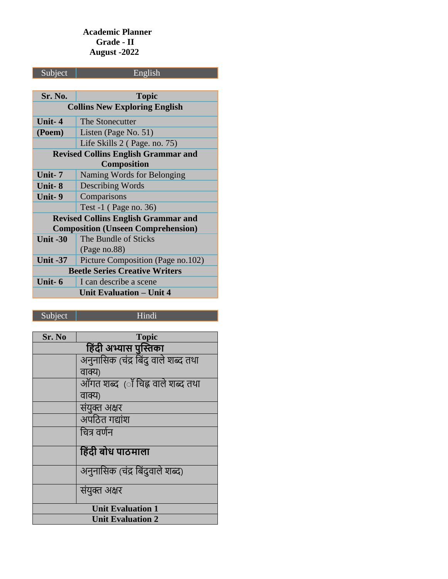## **Academic Planner Grade - II August -2022**

| Subject                                    | English                                    |
|--------------------------------------------|--------------------------------------------|
|                                            |                                            |
| Sr. No.                                    | <b>Topic</b>                               |
| <b>Collins New Exploring English</b>       |                                            |
| Unit-4                                     | The Stonecutter                            |
| (Poem)                                     | Listen (Page No. 51)                       |
|                                            | Life Skills 2 (Page. no. 75)               |
| <b>Revised Collins English Grammar and</b> |                                            |
|                                            | Composition                                |
| Unit- 7                                    | Naming Words for Belonging                 |
| Unit- 8                                    | <b>Describing Words</b>                    |
| Unit-9                                     | Comparisons                                |
|                                            | Test $-1$ (Page no. 36)                    |
|                                            | <b>Revised Collins English Grammar and</b> |
|                                            | <b>Composition (Unseen Comprehension)</b>  |
| <b>Unit -30</b>                            | The Bundle of Sticks                       |
|                                            | (Page no.88)                               |
| <b>Unit -37</b>                            | Picture Composition (Page no.102)          |
| <b>Beetle Series Creative Writers</b>      |                                            |
| Unit-6                                     | I can describe a scene                     |
| <b>Unit Evaluation - Unit 4</b>            |                                            |
|                                            |                                            |

Subject | Hindi

| Sr. No                   | <b>Topic</b>                        |
|--------------------------|-------------------------------------|
|                          | हिंदी अभ्यास पुस्तिका               |
|                          | अनुनासिक (चंद्र बिंदु वाले शब्द तथा |
|                          | वाक्य)                              |
|                          | ऑगत शब्द  (ॉ चिह्न वाले शब्द तथा    |
|                          | वाक्य)                              |
|                          | संयुक्त अक्षर                       |
|                          | अपठित गद्यांश                       |
|                          | चित्र वर्णन                         |
|                          | हिंदी बोध पाठमाला                   |
|                          | अनुनासिक (चंद्र बिंदुवाले शब्द)     |
|                          | संयुक्त अक्षर                       |
| <b>Unit Evaluation 1</b> |                                     |
| <b>Unit Evaluation 2</b> |                                     |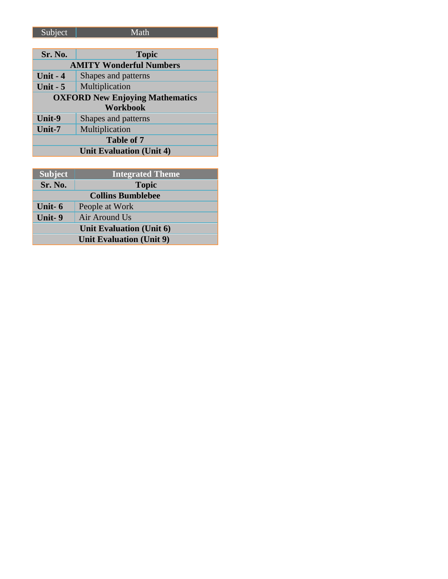| _______ |
|---------|
|         |

| Sr. No.                                | <b>Topic</b>        |
|----------------------------------------|---------------------|
| <b>AMITY Wonderful Numbers</b>         |                     |
| Unit $-4$                              | Shapes and patterns |
| Unit $-5$                              | Multiplication      |
| <b>OXFORD New Enjoying Mathematics</b> |                     |
| <b>Workbook</b>                        |                     |
| Unit-9                                 | Shapes and patterns |
| Unit-7                                 | Multiplication      |
| <b>Table of 7</b>                      |                     |
| Unit Evaluation (Unit 4)               |                     |

| <b>Subject</b>                  | <b>Integrated Theme</b> |
|---------------------------------|-------------------------|
| Sr. No.                         | <b>Topic</b>            |
| <b>Collins Bumblebee</b>        |                         |
| Unit- $6$                       | People at Work          |
| Unit-9                          | Air Around Us           |
| Unit Evaluation (Unit 6)        |                         |
| <b>Unit Evaluation (Unit 9)</b> |                         |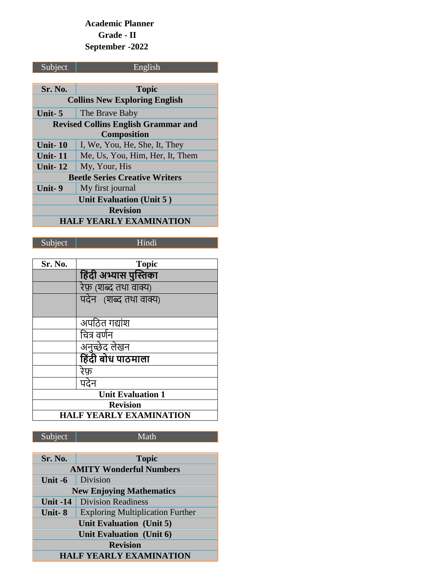## **Academic Planner Grade - II September -2022**

| Subject                                    | English                         |
|--------------------------------------------|---------------------------------|
|                                            |                                 |
| Sr. No.                                    | <b>Topic</b>                    |
| <b>Collins New Exploring English</b>       |                                 |
| Unit- $5$                                  | The Brave Baby                  |
| <b>Revised Collins English Grammar and</b> |                                 |
| <b>Composition</b>                         |                                 |
| <b>Unit-10</b>                             | I, We, You, He, She, It, They   |
| <b>Unit-11</b>                             | Me, Us, You, Him, Her, It, Them |
| Unit- $12$                                 | My, Your, His                   |
| <b>Beetle Series Creative Writers</b>      |                                 |
| Unit-9                                     | My first journal                |
| <b>Unit Evaluation (Unit 5)</b>            |                                 |
| <b>Revision</b>                            |                                 |
| HALF YEARLY EXAMINATION                    |                                 |

# Subject | Hindi

| Sr. No.         | <b>Topic</b>                   |
|-----------------|--------------------------------|
|                 | हिंदी अभ्यास पुस्तिका          |
|                 | रेफ़ (शब्द तथा वाक्य)          |
|                 | पदेन (शब्द तथा वाक्य)          |
|                 |                                |
|                 | अपठित गद्यांश                  |
|                 | चित्र वर्णन                    |
|                 | अनुच्छेद लेखन                  |
|                 | हिंदी बोध पाठमाला              |
|                 | रेफ़                           |
|                 | पदेन                           |
|                 | <b>Unit Evaluation 1</b>       |
| <b>Revision</b> |                                |
|                 | <b>HALF YEARLY EXAMINATION</b> |

| Sr. No.                         | <b>Topic</b>                            |
|---------------------------------|-----------------------------------------|
|                                 | <b>AMITY Wonderful Numbers</b>          |
| Unit -6                         | Division                                |
| <b>New Enjoying Mathematics</b> |                                         |
| <b>Unit -14</b>                 | <b>Division Readiness</b>               |
| Unit-8                          | <b>Exploring Multiplication Further</b> |
| Unit Evaluation (Unit 5)        |                                         |
| Unit Evaluation (Unit 6)        |                                         |
| <b>Revision</b>                 |                                         |
| <b>HALF YEARLY EXAMINATION</b>  |                                         |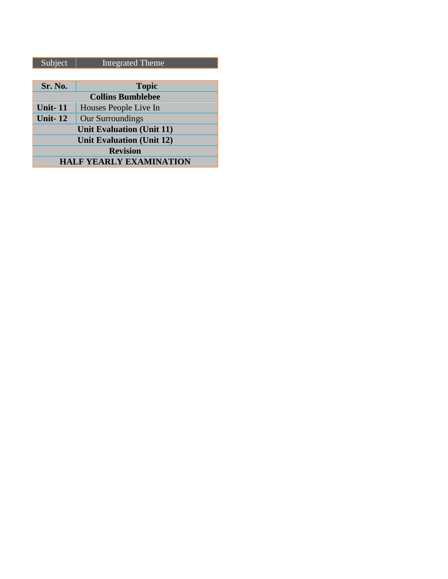| Subject                          | <b>Integrated Theme</b>  |
|----------------------------------|--------------------------|
|                                  |                          |
| Sr. No.                          | <b>Topic</b>             |
|                                  | <b>Collins Bumblebee</b> |
| <b>Unit-11</b>                   | Houses People Live In    |
| <b>Unit-12</b>                   | Our Surroundings         |
| <b>Unit Evaluation (Unit 11)</b> |                          |
| <b>Unit Evaluation (Unit 12)</b> |                          |
| <b>Revision</b>                  |                          |
| <b>HALF YEARLY EXAMINATION</b>   |                          |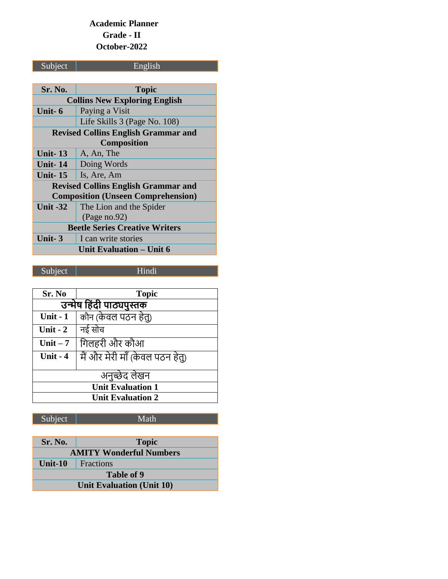## **Academic Planner Grade - II October-2022**

# Subject | English

| Sr. No.                                    | <b>Topic</b>                               |
|--------------------------------------------|--------------------------------------------|
|                                            | <b>Collins New Exploring English</b>       |
| Unit- 6                                    | Paying a Visit                             |
|                                            | Life Skills 3 (Page No. 108)               |
| <b>Revised Collins English Grammar and</b> |                                            |
|                                            | <b>Composition</b>                         |
| Unit $-13$                                 | A, An, The                                 |
| <b>Unit-14</b>                             | Doing Words                                |
| <b>Unit-15</b>                             | Is, Are, Am                                |
|                                            | <b>Revised Collins English Grammar and</b> |
| <b>Composition (Unseen Comprehension)</b>  |                                            |
| <b>Unit -32</b>                            | The Lion and the Spider                    |
|                                            | (Page no.92)                               |
| <b>Beetle Series Creative Writers</b>      |                                            |
| Unit- $3$                                  | I can write stories                        |
| Unit Evaluation – Unit 6                   |                                            |

Subject | Hindi

| Sr. No                   | <b>Topic</b>                    |  |
|--------------------------|---------------------------------|--|
|                          | उन्मेष हिंदी पाठ्यपुस्तक        |  |
| <b>Unit - 1</b>          | कौन (केवल पठन हेतु)             |  |
| Unit - $2$               | नई सोच                          |  |
| Unit $-7$                | गिलहरी और कौआ                   |  |
| Unit - 4                 | मैं और मेरी माँ (केवल पठन हेतु) |  |
|                          |                                 |  |
| अनुच्छेद लेखन            |                                 |  |
| <b>Unit Evaluation 1</b> |                                 |  |
| <b>Unit Evaluation 2</b> |                                 |  |

| <b>Sr. No.</b>                 | <b>Topic</b> |
|--------------------------------|--------------|
| <b>AMITY Wonderful Numbers</b> |              |
| Unit-10                        | Fractions    |
| Table of 9                     |              |
| Unit Evaluation (Unit 10)      |              |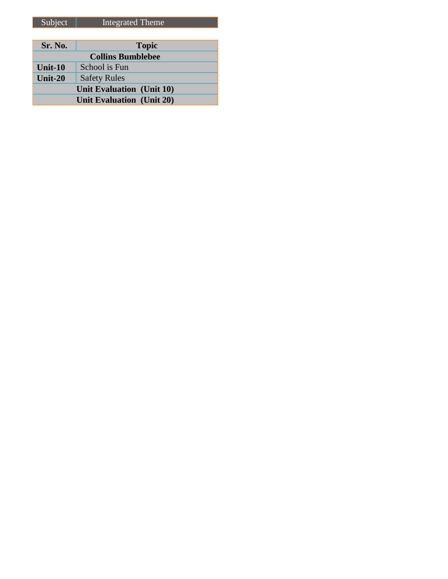| Sr. No.                          | <b>Topic</b>             |
|----------------------------------|--------------------------|
|                                  | <b>Collins Bumblebee</b> |
| <b>Unit-10</b>                   | School is Fun            |
| Unit- $20$                       | <b>Safety Rules</b>      |
| Unit Evaluation (Unit 10)        |                          |
| <b>Unit Evaluation (Unit 20)</b> |                          |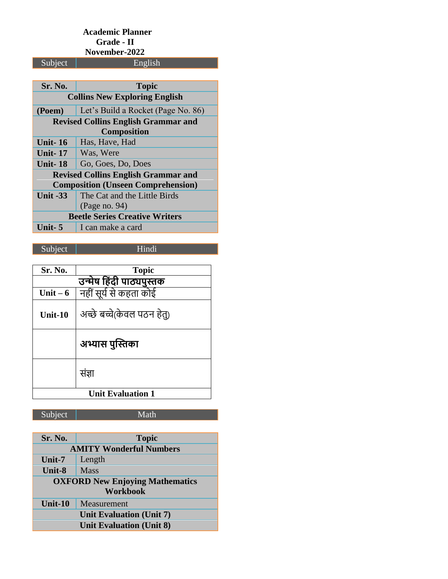#### **Academic Planner Grade - II**

**November-2022**<br>English

| Sr. No.                                    | <b>Topic</b>                               |  |
|--------------------------------------------|--------------------------------------------|--|
|                                            | <b>Collins New Exploring English</b>       |  |
| (Poem)                                     | Let's Build a Rocket (Page No. 86)         |  |
| <b>Revised Collins English Grammar and</b> |                                            |  |
| <b>Composition</b>                         |                                            |  |
| <b>Unit-16</b>                             | Has, Have, Had                             |  |
| <b>Unit-17</b>                             | Was, Were                                  |  |
| Unit- 18                                   | Go, Goes, Do, Does                         |  |
|                                            | <b>Revised Collins English Grammar and</b> |  |
| <b>Composition (Unseen Comprehension)</b>  |                                            |  |
| <b>Unit -33</b>                            | The Cat and the Little Birds               |  |
|                                            | (Page no. 94)                              |  |
| <b>Beetle Series Creative Writers</b>      |                                            |  |
| Unit- $\overline{\phantom{a}}$ 5           | I can make a card                          |  |
|                                            |                                            |  |

## Subject | Hindi

Subject

| Sr. No.                  | <b>Topic</b>               |
|--------------------------|----------------------------|
| उन्मेष हिंदी पाठ्यपुस्तक |                            |
| Unit $-6$                | नहीं सूर्य से कहता कोई     |
| Unit-10                  | अच्छे बच्चे(केवल पठन हेतु) |
|                          | अभ्यास पुस्तिका            |
|                          | सज्ञा                      |
| <b>Unit Evaluation 1</b> |                            |

| Sr. No.                                | <b>Topic</b> |  |
|----------------------------------------|--------------|--|
| <b>AMITY Wonderful Numbers</b>         |              |  |
| $Unit-7$                               | Length       |  |
| Unit-8                                 | <b>Mass</b>  |  |
| <b>OXFORD New Enjoying Mathematics</b> |              |  |
| <b>Workbook</b>                        |              |  |
| Unit-10                                | Measurement  |  |
| <b>Unit Evaluation (Unit 7)</b>        |              |  |
| <b>Unit Evaluation (Unit 8)</b>        |              |  |
|                                        |              |  |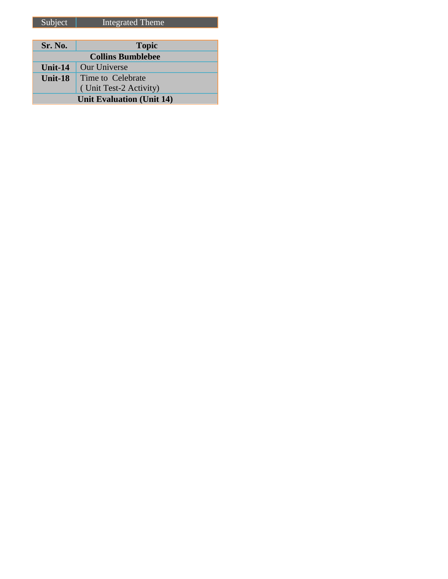| Sr. No.                          | <b>Topic</b>           |
|----------------------------------|------------------------|
| <b>Collins Bumblebee</b>         |                        |
| Unit-14                          | <b>Our Universe</b>    |
| Unit-18                          | Time to Celebrate      |
|                                  | (Unit Test-2 Activity) |
| <b>Unit Evaluation (Unit 14)</b> |                        |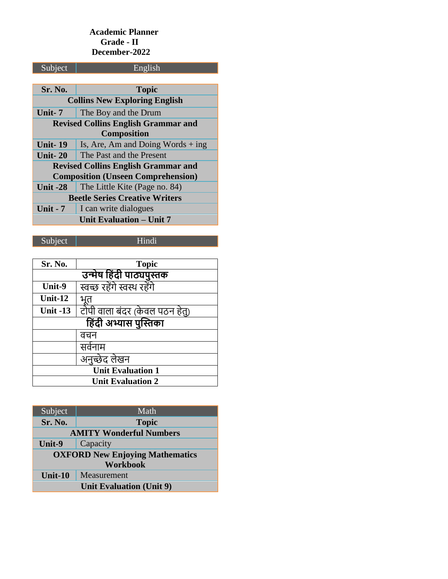### **Academic Planner Grade - II December-2022**

| Subject                                    | English                             |  |
|--------------------------------------------|-------------------------------------|--|
|                                            |                                     |  |
| Sr. No.                                    | <b>Topic</b>                        |  |
| <b>Collins New Exploring English</b>       |                                     |  |
| Unit- $7$                                  | The Boy and the Drum                |  |
| <b>Revised Collins English Grammar and</b> |                                     |  |
| <b>Composition</b>                         |                                     |  |
| <b>Unit-19</b>                             | Is, Are, Am and Doing Words $+$ ing |  |
| <b>Unit-20</b>                             | The Past and the Present            |  |
| <b>Revised Collins English Grammar and</b> |                                     |  |
| <b>Composition (Unseen Comprehension)</b>  |                                     |  |
| <b>Unit -28</b>                            | The Little Kite (Page no. 84)       |  |
| <b>Beetle Series Creative Writers</b>      |                                     |  |
| <b>Unit - 7</b>                            | I can write dialogues               |  |
|                                            | Unit Evaluation - Unit 7            |  |
|                                            |                                     |  |

## Subject Hindi

| Sr. No.                  | <b>Topic</b>                   |  |
|--------------------------|--------------------------------|--|
| उन्मेष हिंदी पाठ्यपुस्तक |                                |  |
| Unit-9                   | स्वच्छ रहेंगे स्वस्थ रहेंगे    |  |
| Unit- $12$               |                                |  |
| <b>Unit -13</b>          | टोपी वाला बंदर (केवल पठन हेतु) |  |
| हिंदी अभ्यास पुस्तिका    |                                |  |
|                          | वचन                            |  |
|                          | सर्वनाम                        |  |
|                          | अनुच्छेद लेखन                  |  |
| <b>Unit Evaluation 1</b> |                                |  |
| <b>Unit Evaluation 2</b> |                                |  |

| Subject                                | Math         |  |
|----------------------------------------|--------------|--|
| Sr. No.                                | <b>Topic</b> |  |
| <b>AMITY Wonderful Numbers</b>         |              |  |
| Unit-9                                 | Capacity     |  |
| <b>OXFORD New Enjoying Mathematics</b> |              |  |
| <b>Workbook</b>                        |              |  |
| Unit-10                                | Measurement  |  |
| <b>Unit Evaluation (Unit 9)</b>        |              |  |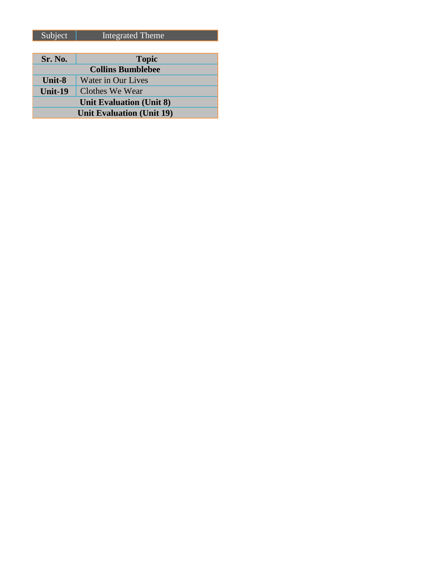| Sr. No.                          | <b>Topic</b>       |
|----------------------------------|--------------------|
| <b>Collins Bumblebee</b>         |                    |
| <b>Unit-8</b>                    | Water in Our Lives |
| <b>Unit-19</b>                   | Clothes We Wear    |
| <b>Unit Evaluation (Unit 8)</b>  |                    |
| <b>Unit Evaluation (Unit 19)</b> |                    |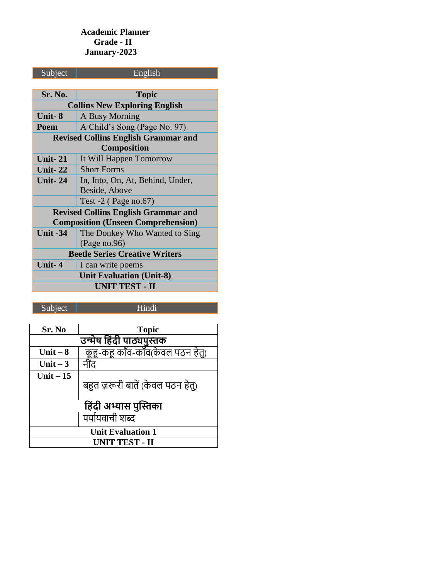## **Academic Planner Grade - II January-2023**

| Subject                                    | English                                   |  |
|--------------------------------------------|-------------------------------------------|--|
|                                            |                                           |  |
| Sr. No.                                    | <b>Topic</b>                              |  |
|                                            | <b>Collins New Exploring English</b>      |  |
| Unit-8                                     | A Busy Morning                            |  |
| Poem                                       | A Child's Song (Page No. 97)              |  |
| <b>Revised Collins English Grammar and</b> |                                           |  |
|                                            | <b>Composition</b>                        |  |
| <b>Unit-21</b>                             | It Will Happen Tomorrow                   |  |
| Unit- $22$                                 | <b>Short Forms</b>                        |  |
| <b>Unit-24</b>                             | In, Into, On, At, Behind, Under,          |  |
|                                            | Beside, Above                             |  |
|                                            | Test $-2$ (Page no.67)                    |  |
| <b>Revised Collins English Grammar and</b> |                                           |  |
|                                            | <b>Composition (Unseen Comprehension)</b> |  |
| <b>Unit -34</b>                            | The Donkey Who Wanted to Sing             |  |
|                                            | (Page no.96)                              |  |
|                                            | <b>Beetle Series Creative Writers</b>     |  |
| Unit-4                                     | I can write poems                         |  |
| <b>Unit Evaluation (Unit-8)</b>            |                                           |  |
| <b>UNIT TEST - II</b>                      |                                           |  |

Subject | Hindi

| Sr. No                                                                       | <b>Topic</b>                      |
|------------------------------------------------------------------------------|-----------------------------------|
| <mark>उन्मेष हिंदी पाठ्यपुस्तक</mark><br>  कूहू-कहू काँव-काँव(केवल पठन हेतु) |                                   |
| Unit $-8$                                                                    |                                   |
| Unit $-3$                                                                    | नींद                              |
| Unit $-15$                                                                   | बहुत ज़रूरी बातें (केवल पठन हेतु) |
|                                                                              |                                   |
| हिंदी अभ्यास पुस्तिका                                                        |                                   |
|                                                                              | पर्यायवाची शब्द                   |
| <b>Unit Evaluation 1</b>                                                     |                                   |
| UNIT TEST - II                                                               |                                   |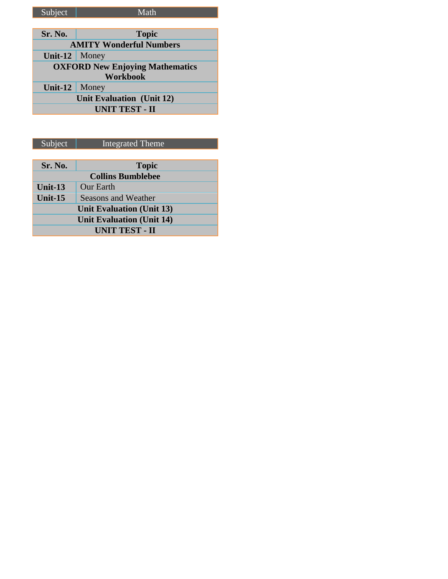| Subject                                | Math            |
|----------------------------------------|-----------------|
|                                        |                 |
| Sr. No.                                | <b>Topic</b>    |
| <b>AMITY Wonderful Numbers</b>         |                 |
| Unit-12                                | Money           |
| <b>OXFORD New Enjoying Mathematics</b> |                 |
|                                        | <b>Workbook</b> |
| Unit- $12$                             | Money           |
| <b>Unit Evaluation</b> (Unit 12)       |                 |
| <b>UNIT TEST - II</b>                  |                 |

| $S$ uhiect | Integrated Theme |
|------------|------------------|
|            |                  |

| Subject                          | <b>Integrated Theme</b>    |  |  |
|----------------------------------|----------------------------|--|--|
|                                  |                            |  |  |
| Sr. No.                          | <b>Topic</b>               |  |  |
| <b>Collins Bumblebee</b>         |                            |  |  |
| Unit- $13$                       | <b>Our Earth</b>           |  |  |
| Unit- $15$                       | <b>Seasons and Weather</b> |  |  |
| <b>Unit Evaluation (Unit 13)</b> |                            |  |  |
| <b>Unit Evaluation (Unit 14)</b> |                            |  |  |
| <b>UNIT TEST - II</b>            |                            |  |  |
|                                  |                            |  |  |
|                                  |                            |  |  |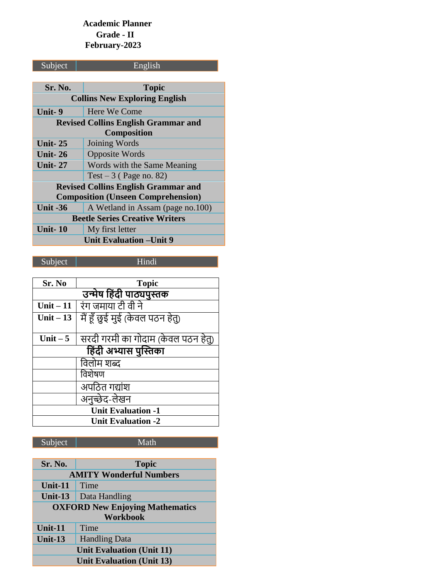## **Academic Planner Grade - II February-2023**

| Subject                                    | English                          |  |
|--------------------------------------------|----------------------------------|--|
|                                            |                                  |  |
| Sr. No.                                    | <b>Topic</b>                     |  |
| <b>Collins New Exploring English</b>       |                                  |  |
| Unit-9                                     | Here We Come                     |  |
| <b>Revised Collins English Grammar and</b> |                                  |  |
| <b>Composition</b>                         |                                  |  |
| <b>Unit-25</b>                             | Joining Words                    |  |
| <b>Unit-26</b>                             | <b>Opposite Words</b>            |  |
| <b>Unit-27</b>                             | Words with the Same Meaning      |  |
|                                            | Test $-3$ (Page no. 82)          |  |
| <b>Revised Collins English Grammar and</b> |                                  |  |
| <b>Composition (Unseen Comprehension)</b>  |                                  |  |
| <b>Unit -36</b>                            | A Wetland in Assam (page no.100) |  |
| <b>Beetle Series Creative Writers</b>      |                                  |  |
| <b>Unit-10</b>                             | My first letter                  |  |
| <b>Unit Evaluation – Unit 9</b>            |                                  |  |

**Sr. No Topic** <u>उन्मेष हिंदी पाठ्यपुस्तक</u> **Unit – 11** <u>Unit – 13 | मैं हूँ छुई मुई (केवल पठन हेतु)</u> Unit – 5 सिरदी गरमी का गोदाम (केवल पठन हेतु) <u>हिंदी अभ्यास पुस्तिका</u> विलोम शब्द विशेषण अपठित गद्यांश अनुच्छेद-लेखन **Unit Evaluation -1 Unit Evaluation -2**

Subject Hindi

| Sr. No.                                | <b>Topic</b>         |  |
|----------------------------------------|----------------------|--|
| <b>AMITY Wonderful Numbers</b>         |                      |  |
| Unit-11                                | Time                 |  |
| Unit- $13$                             | Data Handling        |  |
| <b>OXFORD New Enjoying Mathematics</b> |                      |  |
| <b>Workbook</b>                        |                      |  |
| Unit-11                                | Time                 |  |
| Unit-13                                | <b>Handling Data</b> |  |
| <b>Unit Evaluation (Unit 11)</b>       |                      |  |
| <b>Unit Evaluation (Unit 13)</b>       |                      |  |